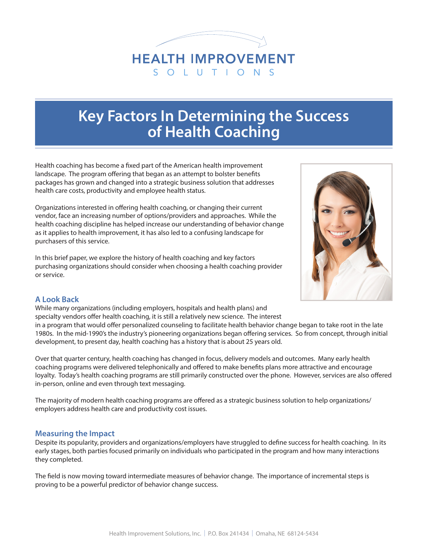

# **Key Factors In Determining the Success of Health Coaching**

Health coaching has become a fixed part of the American health improvement landscape. The program offering that began as an attempt to bolster benefits packages has grown and changed into a strategic business solution that addresses health care costs, productivity and employee health status.

Organizations interested in offering health coaching, or changing their current vendor, face an increasing number of options/providers and approaches. While the health coaching discipline has helped increase our understanding of behavior change as it applies to health improvement, it has also led to a confusing landscape for purchasers of this service.

In this brief paper, we explore the history of health coaching and key factors purchasing organizations should consider when choosing a health coaching provider or service.



## **A Look Back**

While many organizations (including employers, hospitals and health plans) and specialty vendors offer health coaching, it is still a relatively new science. The interest in a program that would offer personalized counseling to facilitate health behavior change began to take root in the late 1980s. In the mid-1990's the industry's pioneering organizations began offering services. So from concept, through initial development, to present day, health coaching has a history that is about 25 years old.

Over that quarter century, health coaching has changed in focus, delivery models and outcomes. Many early health coaching programs were delivered telephonically and offered to make benefits plans more attractive and encourage loyalty. Today's health coaching programs are still primarily constructed over the phone. However, services are also offered in-person, online and even through text messaging.

The majority of modern health coaching programs are offered as a strategic business solution to help organizations/ employers address health care and productivity cost issues.

## **Measuring the Impact**

Despite its popularity, providers and organizations/employers have struggled to define success for health coaching. In its early stages, both parties focused primarily on individuals who participated in the program and how many interactions they completed.

The field is now moving toward intermediate measures of behavior change. The importance of incremental steps is proving to be a powerful predictor of behavior change success.